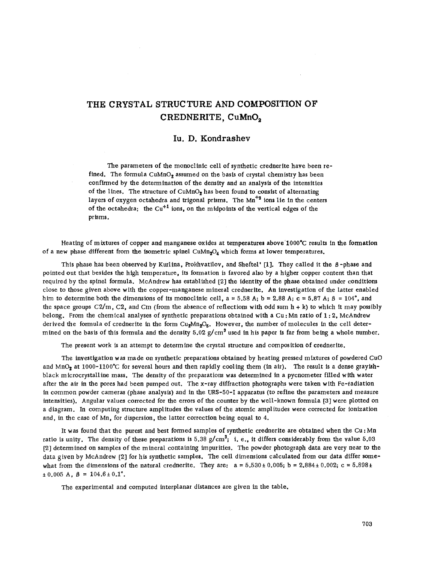## **THE CRYSTAL STRUCTURE AND COMPOSITION OF CREDNERITE, CuMnOa**

## **Iu. D. Kondrashev**

The parameters of the monoclinic cell of synthetic crednerite have been refined. The formula  $CuMnO<sub>2</sub>$  assumed on the basis of crystal chemistry has been confirmed by the determ ination of the density and an analysis of the intensities of the lines. The structure of  $CuMnO<sub>2</sub>$  has been found to consist of alternating layers of oxygen octahedra and trigonal prisms. The Mn<sup>+3</sup> ions lie in the centers of the octahedra; the  $Cu^{+1}$  ions, on the midpoints of the vertical edges of the prisms.

Heating of mixtures of copper and manganese oxides at temperatures above 1000°C results in the formation of a new phase different from the isometric spinel CuMn<sub>2</sub>O<sub>4</sub> which forms at lower temperatures.

This phase has been observed by Kurlina, Prokhvatilov, and Sheftel' [1]. They called it the  $\beta$ -phase and pointed out that besides the high temperature, its formation is favored also by a higher copper content than that required by the spinel formula. McAndrew has established [2] the identity of the phase obtained under conditions close to those given above with the copper-manganese mineral crednerite. An investigation of the latter enabled him to determine both the dimensions of its monoclinic cell,  $a = 5.58$  A;  $b = 2.88$  A;  $c = 5.87$  A;  $\beta = 104^{\circ}$ , and the space groups *C2/m,* C2, and Cm (from the absence of reflections with odd sum h + k) to which it may possibly belong. From the chemical analyses of synthetic preparations obtained with a Cu; Mn ratio of  $1:2$ , McAndrew derived the formula of crednerite in the form  $Cu_2Mn_2O_5$ . However, the number of molecules in the cell determined on the basis of this formula and the density 5.02 *g/cm3* used in his paper is far from being a whole number.

The present work is an attempt to determine the crystal structure and composition Of crednerite.

The investigation was made on synthetic preparations obtained by heating pressed mixtures of powdered CuO and MnO<sub>2</sub> at 1000-1100°C for several hours and then rapidly cooling them (in air). The result is a dense grayishblack microcrystalline mass. The density of the preparations was determined in a pycnometer filled with water after the air in the pores had been pumped out. The x-ray diffraction photographs were taken with Fe-radiation in common powder cameras (phase analysis) and in the URS-50-I apparatus (to refine the parameters and measure intensities). Angular values corrected for the errors of the counter by the well-known formula [3] were plotted on a diagram. In computing structure amplitudes the values of the atomic amplitudes were corrected for ionization and, in the case of Mn, for dispersion, the latter correction being equal to 4.

It was found that the purest and best formed samples of synthetic crednerite are obtained when the Cu: Mn ratio is unity. The density of these preparations is 5.38 *g/cm3;* 1. e., it differs considerably from the value 5.03 [2] determined on samples of the mineral containing impurities. The powder photograph data are very near to the data given by McAndrew [2] for his synthetic samples. The cell dimensions calculated from our data differ somewhat from the dimensions of the natural crednerite. They are:  $a = 5.530 \pm 0.005$ ;  $b = 2.884 \pm 0.002$ ;  $c = 5.898 \pm 1.002$  $\pm 0.005$  A,  $\beta = 104.6 \pm 0.1$ °.

The experimental and computed interplanar distances are given in the table.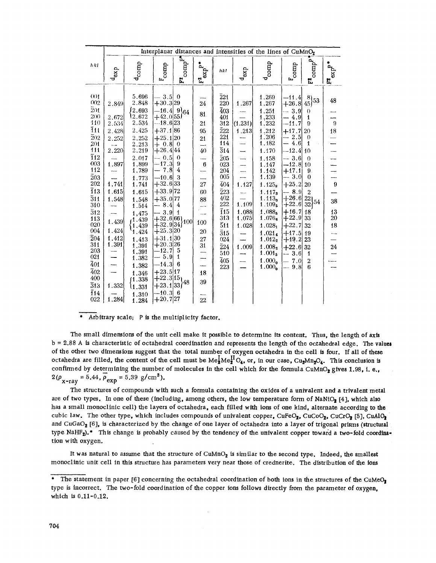|                                                                                                                                                                                                                                                                                                                                                        |                                                                                                                                                        | Interplanar distances and intensities of the lines of $CuMnO2$                                                                                                                                                                                                                          |                                                                                                                                                                                                                                                                                                                                                                                                   |                                                          |                                                                                                                       |                                                                                                                                                                                                                                                                       |                                                                                                                                                        |                                                                                                                                                                                                                                                                                                                                                                 |                                                                                                                                                                                                                                                                                                                                                                                  |                                                                                                                                                                                   |                                                       |
|--------------------------------------------------------------------------------------------------------------------------------------------------------------------------------------------------------------------------------------------------------------------------------------------------------------------------------------------------------|--------------------------------------------------------------------------------------------------------------------------------------------------------|-----------------------------------------------------------------------------------------------------------------------------------------------------------------------------------------------------------------------------------------------------------------------------------------|---------------------------------------------------------------------------------------------------------------------------------------------------------------------------------------------------------------------------------------------------------------------------------------------------------------------------------------------------------------------------------------------------|----------------------------------------------------------|-----------------------------------------------------------------------------------------------------------------------|-----------------------------------------------------------------------------------------------------------------------------------------------------------------------------------------------------------------------------------------------------------------------|--------------------------------------------------------------------------------------------------------------------------------------------------------|-----------------------------------------------------------------------------------------------------------------------------------------------------------------------------------------------------------------------------------------------------------------------------------------------------------------------------------------------------------------|----------------------------------------------------------------------------------------------------------------------------------------------------------------------------------------------------------------------------------------------------------------------------------------------------------------------------------------------------------------------------------|-----------------------------------------------------------------------------------------------------------------------------------------------------------------------------------|-------------------------------------------------------|
| hkl                                                                                                                                                                                                                                                                                                                                                    | $\mathbf{d}_{\exp}$                                                                                                                                    | $d_{comp}$                                                                                                                                                                                                                                                                              | $\mathbf{F}_{\mathbf{comp}}$                                                                                                                                                                                                                                                                                                                                                                      | $\mathbf{F_{comp}^F}$                                    | $F^2_{exp}P$                                                                                                          | hkl                                                                                                                                                                                                                                                                   | $d_{exp}$                                                                                                                                              | $\frac{\rm d}{\rm comp}$                                                                                                                                                                                                                                                                                                                                        | $\mathbf{F}_{\text{comp}}$                                                                                                                                                                                                                                                                                                                                                       | $\mathbf{F_{comp}^{p}}$                                                                                                                                                           | axp <sub>d</sub><br>E,                                |
| (10)1<br>002<br>201<br>200<br>110<br><b>111</b><br>$\overline{2}02$<br>201<br>111<br>$\overline{1}12$<br>003<br>112<br>$\bar{2}03$<br>202<br>$\overline{1}13$<br>$\bar{3}11$<br>310<br>$\bar{3}$ 12<br>113<br>020<br>004<br>$\overline{2}04$<br>311<br>203<br>021<br>$\bar{4}01$<br>$\overline{4}02$<br>400<br>$\bar{3}$ 13<br>$\overline{1}14$<br>022 | 2.849<br>2.672<br>2,534<br>2.428<br>2.252<br>$\sim$<br>2,220<br>1.897<br>1.741<br>1.615<br>1.548<br>1.439<br>1,424<br>1.412<br>1.391<br>1.332<br>1,284 | 5.696<br>2.848<br>12.693<br>12.672<br>2.534<br>2.425<br>2,252<br>2.213<br>2.219<br>2.017<br>1,899<br>1.789<br>1.773<br>1.741<br>1.615<br>1.548<br>1.514<br>1,475<br>1.439<br>1,439<br>1.424<br>1,413<br>1,391<br>1.391<br>1.382<br>1.382<br>1,346<br>11.338<br>l1.331<br>1,310<br>1.284 | 3.5<br>$+30.3 29$<br>$-16.4$ 9\64<br>$+42.055$<br>$-18.6 23$<br>$+37.186$<br>$+25,1 20$<br>$+ 0.8$<br>$+26.444$<br>$-0.5$<br>$-17.3$<br>7.8<br>$-10.6$<br>$+32.6 33$<br>$+33.972$<br>$+35.0 77$<br>$-8.44$<br>3.911<br>$+32.6 66$<br>$+32.9 34]$<br>$+25.3 20$<br>$+31.1 30$<br>$+20.3 26$<br>$-12.7$<br>5.9<br>$-14.3 6$<br>$+23.5 17$<br>$+22.3 15$ լ<br>$+23.1 33)$<br>$-10.3 6$<br>$+20.7 27$ | $\theta$<br>0<br>0<br>9<br>4<br>3<br>100<br>5<br>1<br>48 | 24<br>81<br>21<br>95<br>21<br>—∙<br>40<br>6<br>27<br>60<br>88<br>100<br>20<br>27<br>31<br>18<br>39<br>$\overline{22}$ | $\bar{2}21$<br>220<br>403<br>401<br>312<br>$\bar{2}22$<br>221<br>114<br>$\overline{3}14$<br>$\bar{2}05$<br>023<br>204<br>005<br>404<br>$\bar{2}23$<br>402<br>222<br>$\overline{1}15$<br>313<br>511<br>$\bar{3}$ 15<br>024<br>$\bar{2}24$<br>510<br>$\bar{4}05$<br>223 | 1.267<br>(1.231)<br>1.213<br>-----<br>----<br>----<br>---<br><u></u><br>1.127<br>1.109<br>1.088<br>1,075<br>1.028<br>1.009<br>$\overline{\phantom{0}}$ | 1.269<br>1,267<br>1.251<br>1,233<br>1,232<br>1.212<br>1,206<br>1.182<br>1.170<br>1,158<br>1,147<br>1.142<br>1.139<br>1.125 <sub>8</sub><br>$1.117_8$<br>1.113 <sub>0</sub><br>1.109 <sub>5</sub><br>1.088 <sub>5</sub><br>1.076 $_6$<br>$1.028_1$<br>1.021 $\alpha$<br>$1.012_2$<br>1.008 <sub>2</sub><br>$1.001_5$<br>1.000 <sub>o</sub><br>1.000 <sub>o</sub> | $-11.4$<br>$\left. \begin{matrix} -41.4 & 8 \ +26.8 & 45 \end{matrix} \right  53$<br>3,9<br>---<br>4.9<br>-11.7<br>$+17.7$<br>2.5<br>---<br>4.6<br>$-12.4$<br>$-3.6$<br>$-12.8 10$<br>$+17.1$<br>$-3.0$<br>$+25.2$<br>$= 8.9$<br>$+26.6$<br>$+22.6$<br>$+16.7$<br>$+22.9$<br>$+22.7$<br>$+17.5$ 19<br>$+19.2$<br>$+22.6 32$<br>$-3.6$<br>7.0<br>9, 8<br>$\overline{\phantom{a}}$ | $\theta$<br>1<br>9<br>20<br>$\theta$<br>1<br>10<br>$\Omega$<br>9<br>$\overline{0}$<br>20<br>$\overline{2}$<br>22<br>-54<br>32<br>18<br>33<br>32<br>23<br>1<br>$\overline{2}$<br>6 | 48<br>9<br>18<br>9<br>38<br>13<br>20<br>18<br>$^{24}$ |

## $\bullet$ Arbitrary scale; P is the multiplicity factor.

The small dimensions of the unit cell make it possible to determine its content. Thus, the length of axis b = 2.88 A is characteristic of octahedral coordination and represents the length of the octahedral edge. The values of the other two dimensions suggest that the total number of oxygen octahedra in the cell is four. If all of these octahedra are filled, the content of the cell must be  $Me_{2}^{I}Me_{2}^{II}O_{4}$ , or, in our case, Cu<sub>2</sub>Mn<sub>2</sub>O<sub>4</sub>. This conclusion is confirmed by determining the number of molecules in the cell which for the formula CuMnO2 gives 1.98, i. e.,  $2(\rho_{x-ray} = 5.44, \overline{\rho}_{exp} = 5.39 \text{ g/cm}^3).$ 

The structures of compounds with such a formula containing the oxides of a univalent and a trivalent metal are of two types. In one of these (including, among others, the low temperature form of NaNiO2 [4], which also has a small monoclinic cell) the layers of octahedra, each filled with ions of one kind, alternate according to the cubic law. The other type, which includes compounds of univalent copper, CuFeO<sub>2</sub>, CuCoO<sub>2</sub>, CuCrO<sub>2</sub> [5], CuAlO<sub>2</sub> and CuGaO2 [6], is characterized by the change of one layer of octahedra into a layer of trigonal prisms (structural type NaHF2).<sup>\*</sup> This change is probably caused by the tendency of the univalent copper toward a two-fold coordination with oxygen.

It was natural to assume that the structure of CuMnO<sub>2</sub> is similar to the second type. Indeed, the smallest monoclinic unit cell in this structure has parameters very near those of crednerite. The distribution of the ions

<sup>\*</sup> The statement in paper [6] concerning the octahedral coordination of both ions in the structures of the CuMeO<sub>2</sub> type is incorrect. The two-fold coordination of the copper ions follows directly from the parameter of oxygen, which is 0.11-0.12.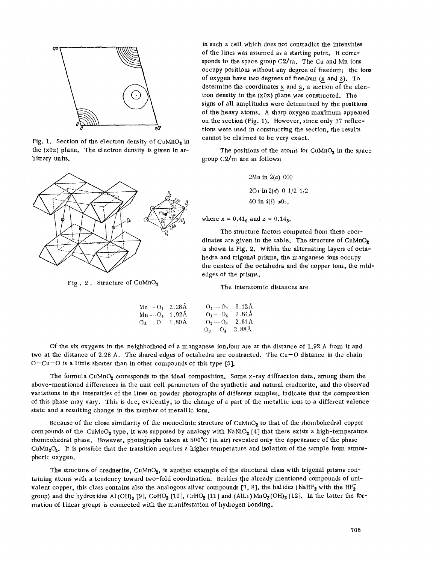

Fig. 1. Section of the electron density of  $\text{CuMnO}_2$  in the  $(x0z)$  plane. The electron density is given in arbitrary units.



Fig. 2. Structure of CuMnOz

in such a cell which does not contradict the intensities of the lines was assumed as a starting point. It corresponds to the space group  $C2/m$ . The Cu and Mn ions occupy positions without any degree of freedom; the ions of oxygen have two degrees of freedom  $(x$  and  $z)$ . To determine the coordinates  $x$  and  $z$ , a section of the electron density in the  $(x0z)$  plane was constructed. The signs of all amplitudes were determined by the positions of the heavy atoms. A sharp oxygen maximum appeared on the section (Fig. 1). However, since only 37 reflections were used in constructing the section, the results cannot be claimed to be very exact.

The positions of the atoms for  $CuMnO<sub>2</sub>$  in the space group C2/m are as follows:

> 2Mn in *2(a)* 000 2Cu in  $2(d)$  0  $1/2$   $1/2$ 40 in *4(i) xOz,*

where  $x = 0.41_6$  and  $z = 0.14_3$ .

The structure factors computed from these coordinates are given in the table. The structure of  $CuMnO<sub>2</sub>$ is shown in Fig. 2. Within the alternating layers of octahedra and trigonal prisms, the manganese ions occupy the centers of the octahedra and the copper ions, the midedges of the prisms.

The interatom ic distances are

| $Mn = O_1$ 2.28 $\AA$      | $Q_1 - Q_2 = 3.12 \text{\AA}$ |  |
|----------------------------|-------------------------------|--|
| $Mn - O_d$ 1.92A           | $O_1 - O_4$ 2.84A             |  |
| $Cu - O = 1.80 \text{\AA}$ | $Q_2 - Q_3$ 2.61 A            |  |
|                            | $Q_3 - Q_4$ 2.88Å.            |  |

Of the six oxygens in the neighborhood of a manganese ion,four are at the distance of 1.92 A from it and two at the distance of 2.28 A. The shared edges of octahedra are contracted. The Cu-O distance in the chain  $O-Cu-O$  is a little shorter than in other compounds of this type [5].

The formula CuMnO<sub>2</sub> corresponds to the ideal composition. Some x-ray diffraction data, among them the above-mentioned differences in the unit cell parameters of the synthetic and natural crednerite, and the observed variations in the intensities of the lines on powder photographs of different samples, indicate that the composition of this phase may vary. This is due, evidently, to the change of a part of the metallic ions to a different valence state and a resulting change in the number of metallic ions.

Because of the close similarity of the monoclinic structure of CuMnO<sub>2</sub> to that of the rhombohedral copper compounds of the CuMeO<sub>2</sub> type, it was supposed by analogy with NaNiO<sub>2</sub> [4] that there exists a high-temperature rhombohedral phase. However, photographs taken at 500'C (in air) revealed only the appearance of the phase  $\text{CuMn}_2\text{O}_4$ . It is possible that the transition requires a higher temperature and isolation of the sample from atmospheric oxygen.

The structure of crednerite, CuMnO<sub>2</sub>, is another example of the structural class with trigonal prisms containing atoms with a tendency toward two-fold coordination. Besides the already mentioned compounds of univalent copper, this class contains also the analogous silver compounds [7, 8], the halides (NaHF<sub>2</sub> with the HF<sub>2</sub> group) and the hydroxides Al(OH)<sub>3</sub> [9], CoHO<sub>2</sub> [10], CrHO<sub>2</sub> [11] and (AlLi) MnO<sub>2</sub>(OH)<sub>2</sub> [12]. In the latter the formation of linear groups is connected with the manifestation of hydrogen bonding.